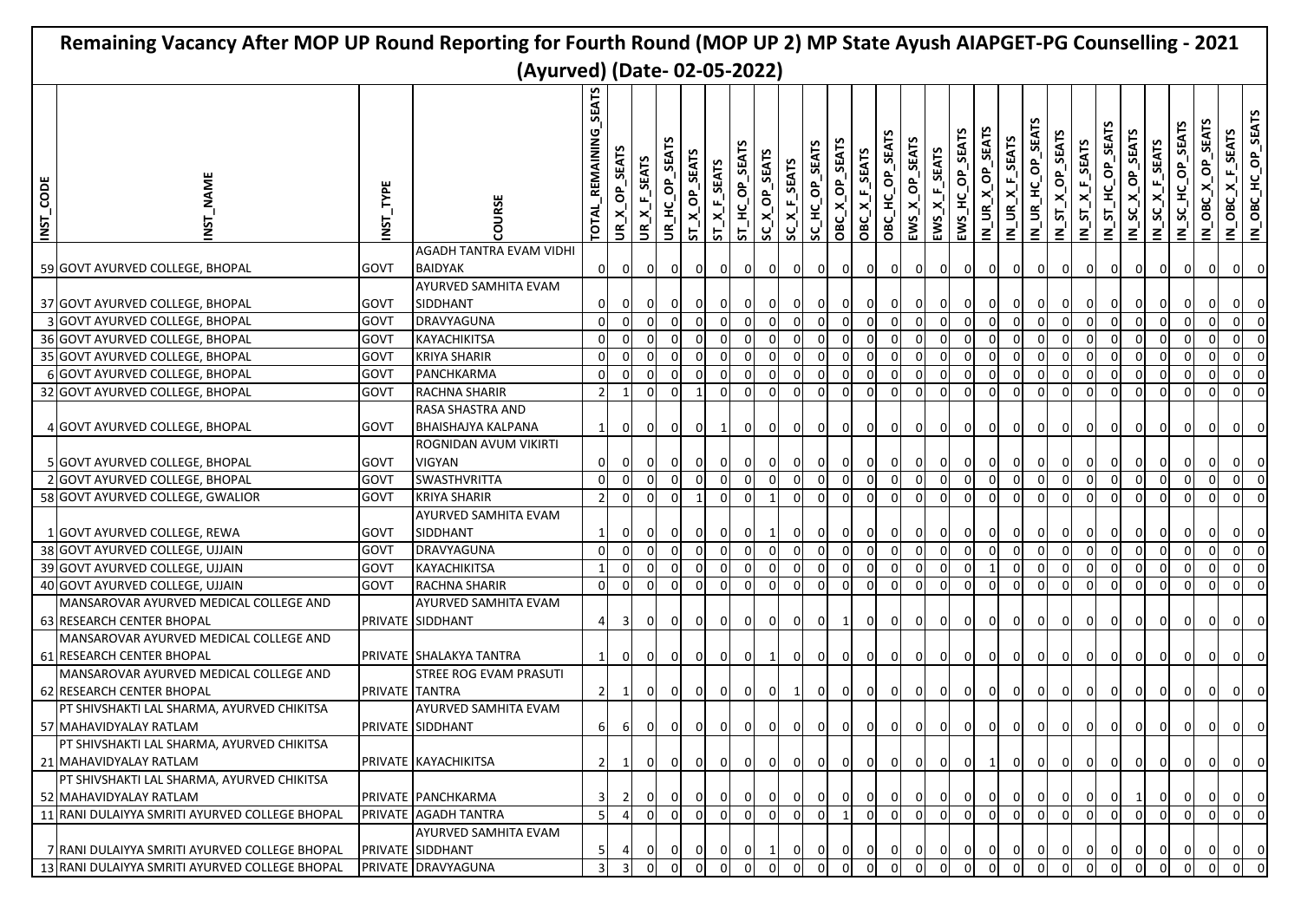|           | Remaining Vacancy After MOP UP Round Reporting for Fourth Round (MOP UP 2) MP State Ayush AIAPGET-PG Counselling - 2021<br>(Ayurved) (Date-02-05-2022) |                         |                                                                        |                                |                         |                |                |                    |                   |                |                |                                  |                |                |                                |                                  |                |                                  |                 |                  |                                |                             |                     |                         |                                                      |                    |                 |                                  |                                  |                                                                            |                          |
|-----------|--------------------------------------------------------------------------------------------------------------------------------------------------------|-------------------------|------------------------------------------------------------------------|--------------------------------|-------------------------|----------------|----------------|--------------------|-------------------|----------------|----------------|----------------------------------|----------------|----------------|--------------------------------|----------------------------------|----------------|----------------------------------|-----------------|------------------|--------------------------------|-----------------------------|---------------------|-------------------------|------------------------------------------------------|--------------------|-----------------|----------------------------------|----------------------------------|----------------------------------------------------------------------------|--------------------------|
|           |                                                                                                                                                        |                         |                                                                        |                                |                         |                |                |                    |                   |                |                |                                  |                |                |                                |                                  |                |                                  |                 |                  |                                |                             |                     |                         |                                                      |                    |                 |                                  |                                  |                                                                            |                          |
| INST_CODE | NST_NAME                                                                                                                                               | <b>TYPE</b><br>ISN<br>S | COURSE                                                                 | SEATS<br>TOTAL_REMAINING       | <b>SEAT</b><br>$UR_XOP$ | UR_X_F_SEATS   | UR_HC_OP_SEA   | ST_X_OP_SEATS      | $ST\_X\_F\_SEATS$ | ST_HC_OP_SEATS | SC_X_OP_SEATS  | $SC\_X_F$ _SEATS                 | SC_HC_OP_SEATS | OBC_X_OP_SEATS | OBC_X_F_SEATS                  | OBC_HC_OP_SEA                    | EWS_X_OP_SEATS | $EWS_{\_}X_{\_}F_{\_SEATS}$      | EWS_HC_OP_SEATS | IN_UR_X_OP_SEATS | $N_UR_XF_SERTS$                | IN_UR_HC_OP_SEATS           | IN_ST_X_OP_SEATS    | IN_ST_X_F_SEATS         | IN_ST_HC_OP_SEATS                                    | IN_SC_X_OP_SEATS   | IN_SC_X_F_SEATS | IN_SC_HC_OP_SEATS                |                                  | <u>IN_0BC_X_OP_SEATS</u><br>I <u>N_0BC_X_F_SEATS</u><br>IN_0BC_HC_OP_SEATS |                          |
|           | 59 GOVT AYURVED COLLEGE, BHOPAL                                                                                                                        | GOVT                    | AGADH TANTRA EVAM VIDHI<br><b>BAIDYAK</b>                              | 01                             | $\mathbf{0}$            | $\mathbf{0}$   | $\mathbf{0}$   | οI                 | $\mathbf{0}$      | $\mathbf{0}$   | 0              | $\overline{0}$                   | $\overline{0}$ | $\overline{0}$ | $\overline{0}$                 | $\overline{0}$                   | $\mathbf{0}$   | $\overline{0}$                   | $\overline{0}$  | $\overline{0}$   | $\overline{0}$                 | $\overline{0}$              | $\circ$             | $\overline{0}$          | $\overline{0}$                                       | $\overline{0}$     | $\overline{0}$  | $\overline{0}$                   | $\overline{0}$                   |                                                                            | $0 \big  0$              |
|           | 37 GOVT AYURVED COLLEGE, BHOPAL                                                                                                                        | <b>GOVT</b>             | AYURVED SAMHITA EVAM<br><b>SIDDHANT</b>                                | 0<br>$\overline{0}$            | $\mathbf{0}$            | οı             | 0              | οı                 |                   | οı             | 0 I            | $\overline{0}$<br>$\overline{0}$ | $\mathbf{0}$   | $\mathbf{0}$   | $\overline{0}$                 | $\overline{0}$                   | $\mathbf{0}$   | $\overline{0}$<br>$\mathbf{0}$   | $\overline{0}$  | $\overline{0}$   | $\mathbf{0}$                   | $\overline{0}$              | $\mathbf{0}$        | $\overline{0}$          | $\overline{0}$                                       | $\overline{0}$     | $\mathbf{0}$    | $\overline{0}$                   | $\overline{0}$                   | $\overline{0}$                                                             | $\overline{\mathbf{0}}$  |
|           | 3 GOVT AYURVED COLLEGE, BHOPAL<br>36 GOVT AYURVED COLLEGE, BHOPAL                                                                                      | GOVT<br>GOVT            | DRAVYAGUNA<br><b>KAYACHIKITSA</b>                                      | $\overline{0}$                 | $\overline{0}$          |                |                |                    |                   |                |                | $\overline{0}$                   |                | οI             |                                |                                  |                | $\overline{0}$                   |                 | $\Omega$         |                                | $\mathbf 0$                 |                     | $\Omega$                |                                                      |                    |                 |                                  |                                  |                                                                            | $\Omega$                 |
|           | 35 GOVT AYURVED COLLEGE, BHOPAL                                                                                                                        | GOVT                    | <b>KRIYA SHARIR</b>                                                    | $\overline{0}$                 | $\Omega$                | $\Omega$       | $\Omega$       |                    |                   |                |                | οI                               |                | $\Omega$       | $\Omega$                       | $\Omega$                         |                | $\Omega$                         |                 | $\Omega$         |                                | $\mathbf 0$                 |                     | $\Omega$                |                                                      | $\overline{0}$     | $\Omega$        | $\mathbf{0}$                     | $\Omega$                         | $\Omega$                                                                   | $\mathbf 0$              |
|           | 6 GOVT AYURVED COLLEGE, BHOPAL                                                                                                                         | GOVT                    | PANCHKARMA                                                             | $\Omega$                       | $\Omega$                | $\Omega$       | $\Omega$       | $\Omega$           |                   | $\Omega$       | $\Omega$       | $\overline{0}$                   | $\Omega$       | $\Omega$       | $\Omega$                       | $\Omega$                         | $\Omega$       | $\Omega$                         | $\Omega$        | $\Omega$         | $\Omega$                       | $\Omega$                    | $\Omega$            | $\Omega$                | $\Omega$                                             | $\overline{0}$     | $\Omega$        | ΩI                               | $\Omega$                         | $\Omega$                                                                   | $\mathbf 0$              |
|           | 32 GOVT AYURVED COLLEGE, BHOPAL                                                                                                                        | GOVT                    | <b>RACHNA SHARIR</b>                                                   | $\overline{2}$                 |                         | $\Omega$       | $\Omega$       |                    |                   |                | $\Omega$       | οI                               | $\Omega$       | ΩI             | $\Omega$                       | $\Omega$                         | n              | $\Omega$                         | $\Omega$        | $\Omega$         | $\Omega$                       | $\Omega$                    | $\Omega$            | $\Omega$                | $\Omega$                                             | οI                 | $\Omega$        | ΩI                               | $\Omega$                         | $\Omega$                                                                   | $\mathbf 0$              |
|           | 4 GOVT AYURVED COLLEGE, BHOPAL                                                                                                                         | GOVT                    | RASA SHASTRA AND<br><b>BHAISHAJYA KALPANA</b><br>ROGNIDAN AVUM VIKIRTI |                                | $\mathbf{0}$            | οı             | 01             | οI                 | 1                 | $\mathbf{0}$   | 01             | $\overline{0}$                   | $\Omega$       | $\overline{0}$ | 0 I                            | $\mathbf{0}$                     | 01             | $\overline{0}$                   | 01              | $\mathbf{0}$     | οI                             | $\overline{0}$              | $\mathbf{0}$        | $\overline{0}$          | $\overline{0}$                                       | $\overline{0}$     | $\mathbf{0}$    | $\overline{0}$                   | $\overline{0}$                   |                                                                            | $ 0 $ 0                  |
|           | 5 GOVT AYURVED COLLEGE, BHOPAL                                                                                                                         | GOVT                    | <b>VIGYAN</b>                                                          | 01                             | 0                       | 01             |                | 0                  |                   |                |                | $\overline{0}$                   | 01             | $\overline{0}$ | $\mathbf{0}$                   | $\overline{0}$                   | $\overline{0}$ | $\overline{0}$                   | $\mathbf{0}$    | $\mathbf{0}$     | $\mathbf{0}$                   | $\overline{0}$              | $\mathbf{0}$        | $\overline{0}$          | $\overline{0}$                                       | $\overline{0}$     | $\overline{0}$  | $\overline{0}$                   | $\overline{0}$                   | $\mathbf{0}$                                                               | $\overline{\mathbf{0}}$  |
|           | 2 GOVT AYURVED COLLEGE, BHOPAL                                                                                                                         | GOVT                    | SWASTHVRITTA                                                           | $\overline{0}$                 | $\Omega$                | $\overline{0}$ | $\Omega$       |                    |                   |                | $\Omega$       | $\overline{0}$                   |                | 0l             | 0                              | οI                               | 0              | $\overline{0}$                   | $\Omega$        | $\Omega$         | 0                              | $\mathbf 0$                 | 0                   | 0                       |                                                      | $\overline{0}$     |                 |                                  |                                  |                                                                            |                          |
|           | 58 GOVT AYURVED COLLEGE, GWALIOR                                                                                                                       | GOVT                    | <b>KRIYA SHARIR</b>                                                    | $\overline{2}$                 | $\overline{0}$          |                |                |                    |                   |                |                | οI                               |                | οI             |                                |                                  |                | 0                                |                 | 0                | 0                              | $\mathbf 0$                 | $\mathbf 0$         | $\overline{0}$          | $\mathbf 0$                                          | 0                  | $\mathbf{0}$    | $\circ$                          | 0l                               | $\overline{0}$                                                             |                          |
|           |                                                                                                                                                        |                         | AYURVED SAMHITA EVAM                                                   |                                |                         |                |                |                    |                   |                |                |                                  |                |                |                                |                                  |                |                                  |                 |                  |                                |                             |                     |                         |                                                      |                    |                 |                                  |                                  |                                                                            |                          |
|           | 1 GOVT AYURVED COLLEGE, REWA                                                                                                                           | GOVT                    | SIDDHANT                                                               |                                |                         |                |                |                    |                   |                |                | 0                                | $\overline{0}$ | $\overline{0}$ | $\mathbf{0}$                   | $\overline{0}$                   | $\overline{0}$ | $\overline{0}$                   | $\mathbf{0}$    | $\overline{0}$   | $\mathbf 0$                    | $\overline{0}$              | $\mathbf 0$         | $\overline{0}$          | $\mathbf{0}$                                         | 0                  | $\overline{0}$  | $\overline{0}$                   | $\overline{0}$                   |                                                                            | $\overline{\mathbf{0}}$  |
|           | 38 GOVT AYURVED COLLEGE, UJJAIN                                                                                                                        | GOVT                    | DRAVYAGUNA                                                             | $\Omega$                       | $\Omega$                | ΩI             | $\Omega$       | $\Omega$           |                   | $\Omega$       | $\Omega$       | 0                                | $\Omega$       | $\Omega$       | $\Omega$                       | $\Omega$                         | $\Omega$       | $\Omega$                         | $\Omega$        | $\Omega$         | $\Omega$                       | $\Omega$                    | $\Omega$            |                         | $\Omega$                                             | $\Omega$           | $\Omega$        | $\Omega$                         | 0                                | $\Omega$                                                                   | $\overline{\mathbf{0}}$  |
|           | 39 GOVT AYURVED COLLEGE, UJJAIN                                                                                                                        | GOVT                    | <b>KAYACHIKITSA</b>                                                    | 1                              | $\Omega$                | $\Omega$       | $\Omega$       | $\Omega$           |                   | $\Omega$       | $\Omega$       | $\overline{0}$                   |                | 0l             | $\Omega$                       | $\Omega$                         | $\Omega$       | $\Omega$                         | $\Omega$        |                  | $\Omega$                       | $\Omega$                    | $\Omega$            | $\Omega$                | $\Omega$                                             | οI                 | 0               | $\Omega$                         | $\Omega$                         |                                                                            | 0                        |
|           | 40 GOVT AYURVED COLLEGE, UJJAIN                                                                                                                        | GOVT                    | RACHNA SHARIR                                                          | $\Omega$                       | $\Omega$                | $\Omega$       | $\Omega$       | $\Omega$           | $\Omega$          | $\Omega$       | $\Omega$       | $\mathbf{0}$                     | $\Omega$       | $\Omega$       | $\Omega$                       | $\Omega$                         | $\Omega$       | $\Omega$                         | $\Omega$        | $\Omega$         | $\Omega$                       | $\Omega$                    | $\Omega$            | $\Omega$                | $\Omega$                                             | 0                  | 0l              | $\Omega$                         | $\Omega$                         | $\Omega$                                                                   |                          |
|           | MANSAROVAR AYURVED MEDICAL COLLEGE AND<br>63 RESEARCH CENTER BHOPAL                                                                                    |                         | AYURVED SAMHITA EVAM<br>PRIVATE SIDDHANT                               | 41                             | $\overline{\mathbf{3}}$ | $\mathbf{0}$   | $\mathbf{0}$   | $\mathbf{0}$       | $\mathbf{0}$      | $\mathbf{0}$   | 01             | $\overline{0}$                   | $\overline{0}$ | $\mathbf{1}$   | $\overline{0}$                 | $\overline{0}$                   | $\overline{0}$ | $\overline{0}$                   | $\overline{0}$  | $\overline{0}$   | $\overline{0}$                 | $\overline{0}$              |                     | $\overline{0}$          | $\overline{0}$                                       | $\overline{0}$     | $\overline{0}$  | 0                                | $\overline{0}$                   |                                                                            | $0 \mid 0$               |
|           | MANSAROVAR AYURVED MEDICAL COLLEGE AND                                                                                                                 |                         |                                                                        |                                |                         |                |                |                    |                   |                |                |                                  |                |                |                                |                                  |                |                                  |                 |                  |                                |                             | 0                   |                         |                                                      |                    |                 |                                  |                                  |                                                                            |                          |
|           | 61 RESEARCH CENTER BHOPAL                                                                                                                              |                         | PRIVATE SHALAKYA TANTRA                                                |                                | $\mathbf{0}$            | $\mathbf{0}$   | 0              | $\mathbf{0}$       | $\mathbf{0}$      | $\overline{0}$ | $\vert$ 1      | $\overline{0}$                   | 0              | 0              | $\overline{0}$                 | $\overline{0}$                   | $\overline{0}$ | 0                                | $\overline{0}$  | 0                | $\overline{0}$                 | $\overline{0}$              | $\overline{0}$      |                         | $0 \quad 0$                                          | $\overline{0}$     | $\overline{0}$  | $\mathbf 0$                      | $\overline{0}$                   |                                                                            | $0 \quad 0$              |
|           | MANSAROVAR AYURVED MEDICAL COLLEGE AND                                                                                                                 |                         | STREE ROG EVAM PRASUTI                                                 |                                |                         |                |                |                    |                   |                |                |                                  |                |                |                                |                                  |                |                                  |                 |                  |                                |                             |                     |                         |                                                      |                    |                 |                                  |                                  |                                                                            |                          |
|           | 62 RESEARCH CENTER BHOPAL                                                                                                                              | PRIVATE TANTRA          |                                                                        |                                |                         |                |                |                    |                   | $\overline{0}$ | $\overline{0}$ | $\mathbf{1}$                     | $\mathbf{0}$   | 0              | $\overline{0}$                 | 0                                | $\circ$        | $\overline{0}$                   | $\overline{0}$  | 0                |                                | $0\quad 0$                  |                     |                         | $\begin{array}{ccc c} 0 & 0 & 0 & 0 \end{array}$     |                    | $\overline{0}$  | $\overline{0}$                   | $\overline{0}$                   |                                                                            | $0 \quad 0$              |
|           | PT SHIVSHAKTI LAL SHARMA, AYURVED CHIKITSA                                                                                                             |                         | AYURVED SAMHITA EVAM                                                   |                                |                         |                |                |                    |                   |                |                |                                  |                |                |                                |                                  |                |                                  |                 |                  |                                |                             |                     |                         |                                                      |                    |                 |                                  |                                  |                                                                            |                          |
|           | 57 MAHAVIDYALAY RATLAM                                                                                                                                 |                         | PRIVATE SIDDHANT                                                       | $6 \mid$                       | 6                       | $\overline{0}$ | $\overline{0}$ | $\overline{0}$     | $\overline{0}$    | $\overline{0}$ | $\overline{0}$ | $\overline{0}$                   | $\mathbf{0}$   | $\overline{0}$ | $\mathbf 0$                    | $\overline{0}$                   | $\mathbf{0}$   | $\overline{0}$                   | 0               | $\overline{0}$   | $\overline{0}$                 | $\overline{0}$              |                     |                         |                                                      |                    |                 |                                  |                                  |                                                                            |                          |
|           | PT SHIVSHAKTI LAL SHARMA, AYURVED CHIKITSA                                                                                                             |                         |                                                                        |                                |                         |                |                |                    |                   |                |                |                                  |                |                |                                |                                  |                |                                  |                 |                  |                                |                             |                     |                         |                                                      |                    |                 |                                  |                                  |                                                                            |                          |
|           | 21 MAHAVIDYALAY RATLAM                                                                                                                                 |                         | PRIVATE KAYACHIKITSA                                                   | $\overline{2}$                 |                         | 01             | 0I             | $\mathbf{0}$       | -OI               | -01            | 0              | $\overline{0}$                   | $\overline{0}$ | 0              | 0 I                            | $\overline{0}$                   | 01             | $\mathbf{0}$                     | 0               | 1                | 0                              | $\overline{0}$              | $\overline{0}$      |                         | $\begin{array}{ccc c} 0 & 0 & 0 & 0 & 0 \end{array}$ |                    |                 |                                  | $\overline{0}$                   |                                                                            | $0 \quad 0$              |
|           | PT SHIVSHAKTI LAL SHARMA, AYURVED CHIKITSA                                                                                                             |                         |                                                                        |                                |                         |                |                |                    |                   |                |                |                                  |                |                |                                |                                  |                |                                  |                 |                  |                                |                             |                     |                         |                                                      |                    |                 |                                  |                                  |                                                                            |                          |
|           | 52 MAHAVIDYALAY RATLAM                                                                                                                                 |                         | PRIVATE PANCHKARMA                                                     | 3                              | $\overline{2}$          | 01             | <sup>O</sup>   | ΟI                 |                   |                |                | $\mathbf{0}$                     | 01             | $\overline{0}$ | 0 I                            | 0                                | 0              | $\overline{0}$                   | 01              | 0                | ΟI                             | $\mathbf{0}$                | $\overline{0}$      | $\overline{\mathbf{0}}$ | $\overline{0}$                                       | $\vert$ 1          | $\mathbf{0}$    | 0                                | $\overline{0}$                   |                                                                            | $ 0 $ 0                  |
|           | 11 RANI DULAIYYA SMRITI AYURVED COLLEGE BHOPAL                                                                                                         |                         | PRIVATE AGADH TANTRA                                                   | 5                              | $\overline{4}$          | $\overline{0}$ | 0l             | $\overline{0}$     | $\Omega$          | $\mathbf{0}$   | 0              | -ol                              | $\Omega$       | 1              | $\mathbf{0}$                   | 0 I                              | $\overline{0}$ | $\overline{0}$                   | $\overline{0}$  | $\overline{0}$   | $\overline{0}$                 | $\mathbf 0$                 | $\mathbf 0$         | $\overline{0}$          | $\overline{0}$                                       | $\overline{0}$     | $\overline{0}$  | $\overline{0}$                   | $\overline{0}$                   | 0 I                                                                        | $\overline{\phantom{0}}$ |
|           |                                                                                                                                                        |                         | AYURVED SAMHITA EVAM                                                   |                                |                         |                |                |                    |                   |                |                |                                  |                |                |                                |                                  |                |                                  |                 |                  |                                |                             |                     |                         |                                                      |                    |                 |                                  |                                  |                                                                            |                          |
|           | 7 RANI DULAIYYA SMRITI AYURVED COLLEGE BHOPAL<br>13 RANI DULAIYYA SMRITI AYURVED COLLEGE BHOPAL                                                        |                         | PRIVATE SIDDHANT<br>PRIVATE DRAVYAGUNA                                 | $\mathbf{5}$<br>$\overline{3}$ | $\overline{3}$          | $\overline{0}$ | $\overline{0}$ | $\mathbf{0}$<br>οI | $\overline{0}$    | $\mathbf{0}$   | $\overline{0}$ | 0 <br>$\overline{0}$             | $\mathbf{0}$   | 0 <br>0l       | $\mathbf{0}$<br>$\overline{0}$ | $\overline{0}$<br>$\overline{0}$ | 0<br>0         | $\overline{0}$<br>$\overline{0}$ | $\mathbf 0$     |                  | $\mathbf{0}$<br>$\overline{0}$ | $\mathsf{o}$<br>$\mathbf 0$ | $\overline{0}$<br>0 | $\overline{0}$          | $\overline{O}$<br>$\overline{0}$                     | 0 <br>$\mathbf{0}$ | 0               | $\overline{0}$<br>$\overline{0}$ | $\overline{0}$<br>$\overline{0}$ |                                                                            | $ 0 $ 0<br>$0\sqrt{0}$   |
|           |                                                                                                                                                        |                         |                                                                        |                                |                         |                |                |                    |                   |                |                |                                  |                |                |                                |                                  |                |                                  |                 |                  |                                |                             |                     |                         |                                                      |                    | $\overline{0}$  |                                  |                                  |                                                                            |                          |